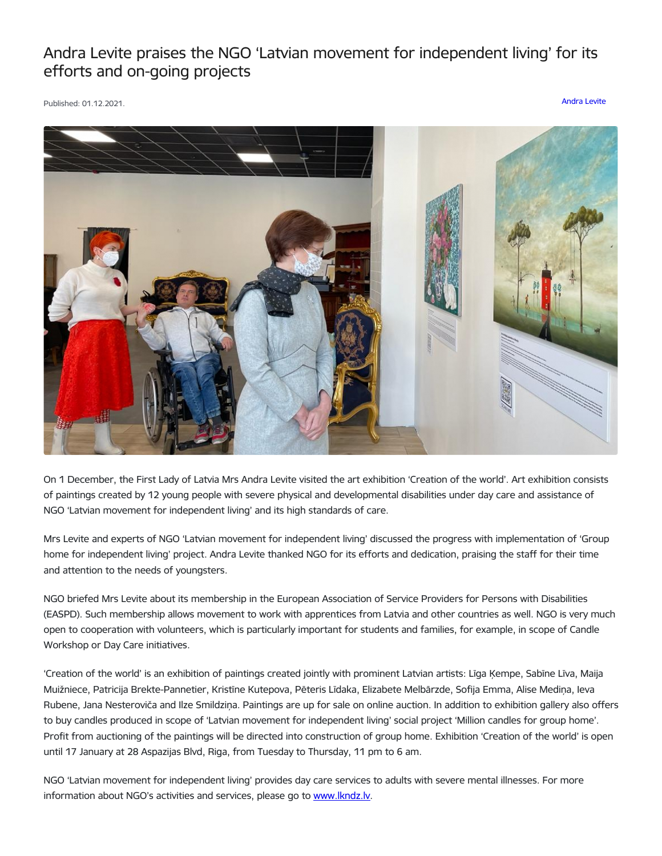## Andra Levite praises the NGO 'Latvian movement for independent living' for its efforts and on-going projects

Published: 01.12.2021. [Andra](https://www.president.lv/en/articles?category%255B1306%255D=1306) Levite



On 1 December, the First Lady of Latvia Mrs Andra Levite visited the art exhibition 'Creation of the world'. Art exhibition consists of paintings created by 12 young people with severe physical and developmental disabilities under day care and assistance of NGO 'Latvian movement for independent living' and its high standards of care.

Mrs Levite and experts of NGO 'Latvian movement for independent living' discussed the progress with implementation of 'Group home for independent living' project. Andra Levite thanked NGO for its efforts and dedication, praising the staff for their time and attention to the needs of youngsters.

NGO briefed Mrs Levite about its membership in the European Association of Service Providers for Persons with Disabilities (EASPD). Such membership allows movement to work with apprentices from Latvia and other countries as well. NGO is very much open to cooperation with volunteers, which is particularly important for students and families, for example, in scope of Candle Workshop or Day Care initiatives.

'Creation of the world' is an exhibition of paintings created jointly with prominent Latvian artists: Līga Ķempe, Sabīne Līva, Maija Muižniece, Patricija Brekte-Pannetier, Kristīne Kutepova, Pēteris Līdaka, Elizabete Melbārzde, Sofija Emma, Alise Mediņa, Ieva Rubene, Jana Nesteroviča and Ilze Smildziņa. Paintings are up for sale on online auction. In addition to exhibition gallery also offers to buy candles produced in scope of 'Latvian movement for independent living' social project 'Million candles for group home'. Profit from auctioning of the paintings will be directed into construction of group home. Exhibition 'Creation of the world' is open until 17 January at 28 Aspazijas Blvd, Riga, from Tuesday to Thursday, 11 pm to 6 am.

NGO 'Latvian movement for independent living' provides day care services to adults with severe mental illnesses. For more information about NGO's activities and services, please go to [www.lkndz.lv](http://www.lkndz.lv).